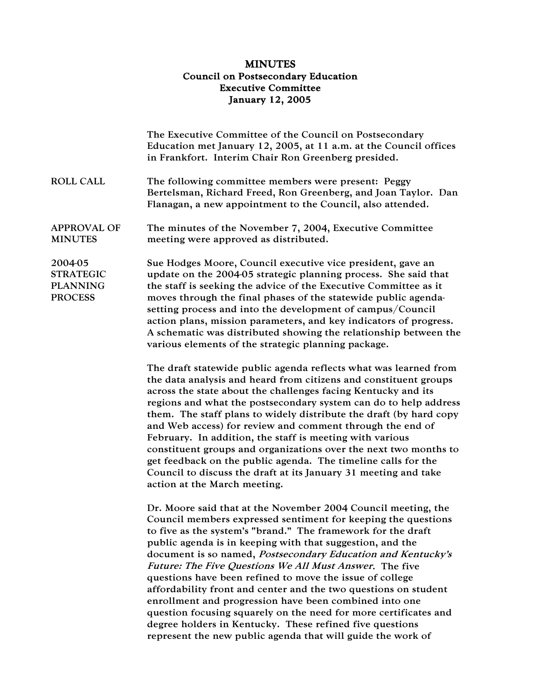## MINUTES Council on Postsecondary Education Executive Committee January 12, 2005

|                                                                  | The Executive Committee of the Council on Postsecondary<br>Education met January 12, 2005, at 11 a.m. at the Council offices<br>in Frankfort. Interim Chair Ron Greenberg presided.                                                                                                                                                                                                                                                                                                                                                                                                                                                                                                                                                                                            |
|------------------------------------------------------------------|--------------------------------------------------------------------------------------------------------------------------------------------------------------------------------------------------------------------------------------------------------------------------------------------------------------------------------------------------------------------------------------------------------------------------------------------------------------------------------------------------------------------------------------------------------------------------------------------------------------------------------------------------------------------------------------------------------------------------------------------------------------------------------|
| <b>ROLL CALL</b>                                                 | The following committee members were present: Peggy<br>Bertelsman, Richard Freed, Ron Greenberg, and Joan Taylor. Dan<br>Flanagan, a new appointment to the Council, also attended.                                                                                                                                                                                                                                                                                                                                                                                                                                                                                                                                                                                            |
| <b>APPROVAL OF</b><br><b>MINUTES</b>                             | The minutes of the November 7, 2004, Executive Committee<br>meeting were approved as distributed.                                                                                                                                                                                                                                                                                                                                                                                                                                                                                                                                                                                                                                                                              |
| 2004-05<br><b>STRATEGIC</b><br><b>PLANNING</b><br><b>PROCESS</b> | Sue Hodges Moore, Council executive vice president, gave an<br>update on the 2004-05 strategic planning process. She said that<br>the staff is seeking the advice of the Executive Committee as it<br>moves through the final phases of the statewide public agenda-<br>setting process and into the development of campus/Council<br>action plans, mission parameters, and key indicators of progress.<br>A schematic was distributed showing the relationship between the<br>various elements of the strategic planning package.                                                                                                                                                                                                                                             |
|                                                                  | The draft statewide public agenda reflects what was learned from<br>the data analysis and heard from citizens and constituent groups<br>across the state about the challenges facing Kentucky and its<br>regions and what the postsecondary system can do to help address<br>them. The staff plans to widely distribute the draft (by hard copy<br>and Web access) for review and comment through the end of<br>February. In addition, the staff is meeting with various<br>constituent groups and organizations over the next two months to<br>get feedback on the public agenda. The timeline calls for the<br>Council to discuss the draft at its January 31 meeting and take<br>action at the March meeting.                                                               |
|                                                                  | Dr. Moore said that at the November 2004 Council meeting, the<br>Council members expressed sentiment for keeping the questions<br>to five as the system's "brand." The framework for the draft<br>public agenda is in keeping with that suggestion, and the<br>document is so named, Postsecondary Education and Kentucky's<br>Future: The Five Questions We All Must Answer. The five<br>questions have been refined to move the issue of college<br>affordability front and center and the two questions on student<br>enrollment and progression have been combined into one<br>question focusing squarely on the need for more certificates and<br>degree holders in Kentucky. These refined five questions<br>represent the new public agenda that will guide the work of |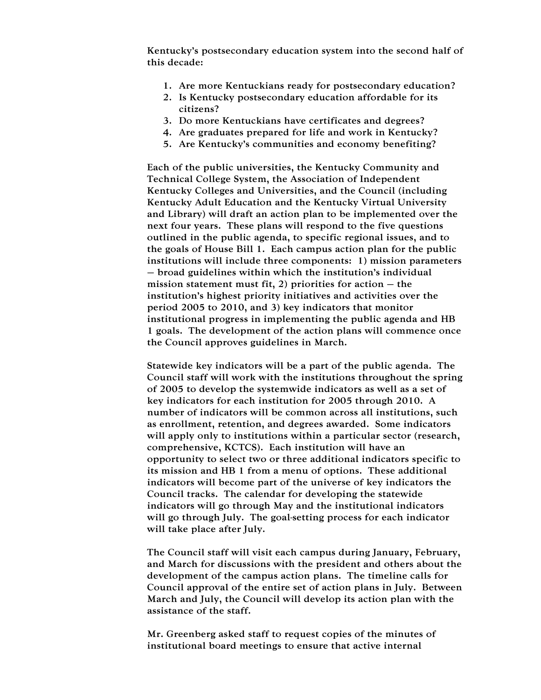Kentucky's postsecondary education system into the second half of this decade:

- 1. Are more Kentuckians ready for postsecondary education?
- 2. Is Kentucky postsecondary education affordable for its citizens?
- 3. Do more Kentuckians have certificates and degrees?
- 4. Are graduates prepared for life and work in Kentucky?
- 5. Are Kentucky's communities and economy benefiting?

Each of the public universities, the Kentucky Community and Technical College System, the Association of Independent Kentucky Colleges and Universities, and the Council (including Kentucky Adult Education and the Kentucky Virtual University and Library) will draft an action plan to be implemented over the next four years. These plans will respond to the five questions outlined in the public agenda, to specific regional issues, and to the goals of House Bill 1. Each campus action plan for the public institutions will include three components: 1) mission parameters – broad guidelines within which the institution's individual mission statement must fit, 2) priorities for action  $-$  the institution's highest priority initiatives and activities over the period 2005 to 2010, and 3) key indicators that monitor institutional progress in implementing the public agenda and HB 1 goals. The development of the action plans will commence once the Council approves guidelines in March.

Statewide key indicators will be a part of the public agenda. The Council staff will work with the institutions throughout the spring of 2005 to develop the systemwide indicators as well as a set of key indicators for each institution for 2005 through 2010. A number of indicators will be common across all institutions, such as enrollment, retention, and degrees awarded. Some indicators will apply only to institutions within a particular sector (research, comprehensive, KCTCS). Each institution will have an opportunity to select two or three additional indicators specific to its mission and HB 1 from a menu of options. These additional indicators will become part of the universe of key indicators the Council tracks. The calendar for developing the statewide indicators will go through May and the institutional indicators will go through July. The goal-setting process for each indicator will take place after July.

The Council staff will visit each campus during January, February, and March for discussions with the president and others about the development of the campus action plans. The timeline calls for Council approval of the entire set of action plans in July. Between March and July, the Council will develop its action plan with the assistance of the staff.

Mr. Greenberg asked staff to request copies of the minutes of institutional board meetings to ensure that active internal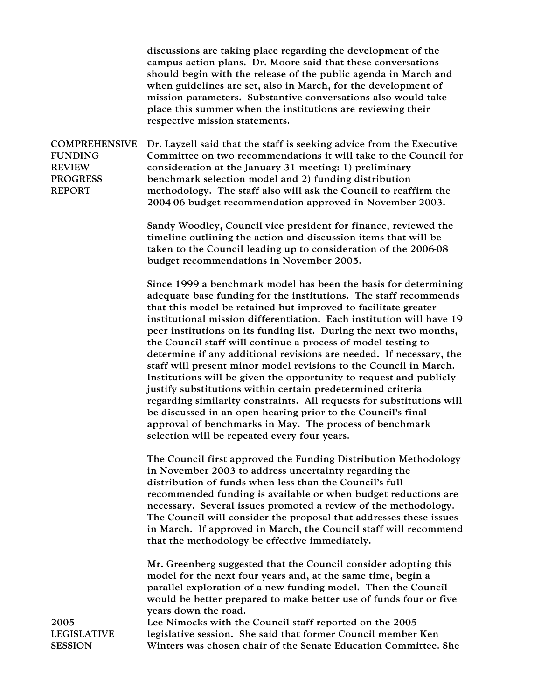discussions are taking place regarding the development of the campus action plans. Dr. Moore said that these conversations should begin with the release of the public agenda in March and when guidelines are set, also in March, for the development of mission parameters. Substantive conversations also would take place this summer when the institutions are reviewing their respective mission statements.

COMPREHENSIVE FUNDING **REVIEW** PROGRESS REPORT Dr. Layzell said that the staff is seeking advice from the Executive Committee on two recommendations it will take to the Council for consideration at the January 31 meeting: 1) preliminary benchmark selection model and 2) funding distribution methodology. The staff also will ask the Council to reaffirm the 2004-06 budget recommendation approved in November 2003.

> Sandy Woodley, Council vice president for finance, reviewed the timeline outlining the action and discussion items that will be taken to the Council leading up to consideration of the 2006-08 budget recommendations in November 2005.

Since 1999 a benchmark model has been the basis for determining adequate base funding for the institutions. The staff recommends that this model be retained but improved to facilitate greater institutional mission differentiation. Each institution will have 19 peer institutions on its funding list. During the next two months, the Council staff will continue a process of model testing to determine if any additional revisions are needed. If necessary, the staff will present minor model revisions to the Council in March. Institutions will be given the opportunity to request and publicly justify substitutions within certain predetermined criteria regarding similarity constraints. All requests for substitutions will be discussed in an open hearing prior to the Council's final approval of benchmarks in May. The process of benchmark selection will be repeated every four years.

The Council first approved the Funding Distribution Methodology in November 2003 to address uncertainty regarding the distribution of funds when less than the Council's full recommended funding is available or when budget reductions are necessary. Several issues promoted a review of the methodology. The Council will consider the proposal that addresses these issues in March. If approved in March, the Council staff will recommend that the methodology be effective immediately.

Mr. Greenberg suggested that the Council consider adopting this model for the next four years and, at the same time, begin a parallel exploration of a new funding model. Then the Council would be better prepared to make better use of funds four or five years down the road.

Lee Nimocks with the Council staff reported on the 2005 legislative session. She said that former Council member Ken Winters was chosen chair of the Senate Education Committee. She

2005 LEGISLATIVE **SESSION**